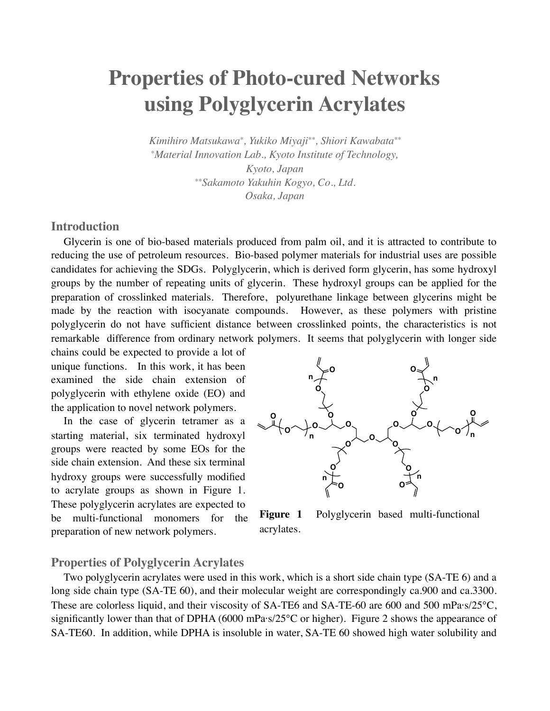# **Properties of Photo-cured Networks using Polyglycerin Acrylates**

*Kimihiro Matsukawa\*, Yukiko Miyaji\*\*, Shiori Kawabata\*\* \*Material Innovation Lab., Kyoto Institute of Technology, Kyoto, Japan \*\*Sakamoto Yakuhin Kogyo, Co., Ltd. Osaka, Japan*

## **Introduction**

Glycerin is one of bio-based materials produced from palm oil, and it is attracted to contribute to reducing the use of petroleum resources. Bio-based polymer materials for industrial uses are possible candidates for achieving the SDGs. Polyglycerin, which is derived form glycerin, has some hydroxyl groups by the number of repeating units of glycerin. These hydroxyl groups can be applied for the preparation of crosslinked materials. Therefore, polyurethane linkage between glycerins might be made by the reaction with isocyanate compounds. However, as these polymers with pristine polyglycerin do not have sufficient distance between crosslinked points, the characteristics is not remarkable difference from ordinary network polymers. It seems that polyglycerin with longer side

chains could be expected to provide a lot of unique functions. In this work, it has been examined the side chain extension of polyglycerin with ethylene oxide (EO) and the application to novel network polymers.

In the case of glycerin tetramer as a starting material, six terminated hydroxyl groups were reacted by some EOs for the side chain extension. And these six terminal hydroxy groups were successfully modified to acrylate groups as shown in Figure 1. These polyglycerin acrylates are expected to be multi-functional monomers for the preparation of new network polymers.



**Figure 1** Polyglycerin based multi-functional acrylates.

### **Properties of Polyglycerin Acrylates**

Two polyglycerin acrylates were used in this work, which is a short side chain type (SA-TE 6) and a long side chain type (SA-TE 60), and their molecular weight are correspondingly ca.900 and ca.3300. These are colorless liquid, and their viscosity of SA-TE6 and SA-TE-60 are 600 and 500 mPa·s/ $25^{\circ}$ C, significantly lower than that of DPHA (6000 mPa·s/25°C or higher). Figure 2 shows the appearance of SA-TE60. In addition, while DPHA is insoluble in water, SA-TE 60 showed high water solubility and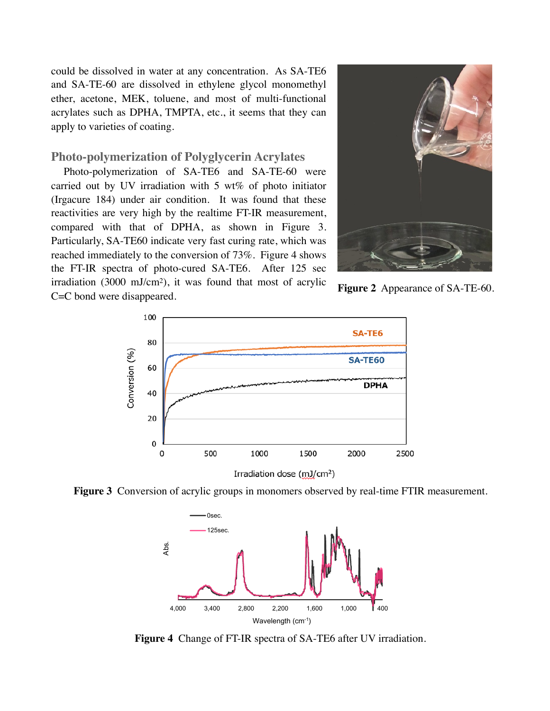could be dissolved in water at any concentration. As SA-TE6 and SA-TE-60 are dissolved in ethylene glycol monomethyl ether, acetone, MEK, toluene, and most of multi-functional acrylates such as DPHA, TMPTA, etc., it seems that they can apply to varieties of coating.

#### **Photo-polymerization of Polyglycerin Acrylates**

Photo-polymerization of SA-TE6 and SA-TE-60 were carried out by UV irradiation with 5 wt% of photo initiator (Irgacure 184) under air condition. It was found that these reactivities are very high by the realtime FT-IR measurement, compared with that of DPHA, as shown in Figure 3. Particularly, SA-TE60 indicate very fast curing rate, which was reached immediately to the conversion of 73%. Figure 4 shows the FT-IR spectra of photo-cured SA-TE6. After 125 sec irradiation (3000 mJ/cm2), it was found that most of acrylic C=C bond were disappeared.



**Figure 2** Appearance of SA-TE-60.



**Figure 3** Conversion of acrylic groups in monomers observed by real-time FTIR measurement.



**Figure 4** Change of FT-IR spectra of SA-TE6 after UV irradiation.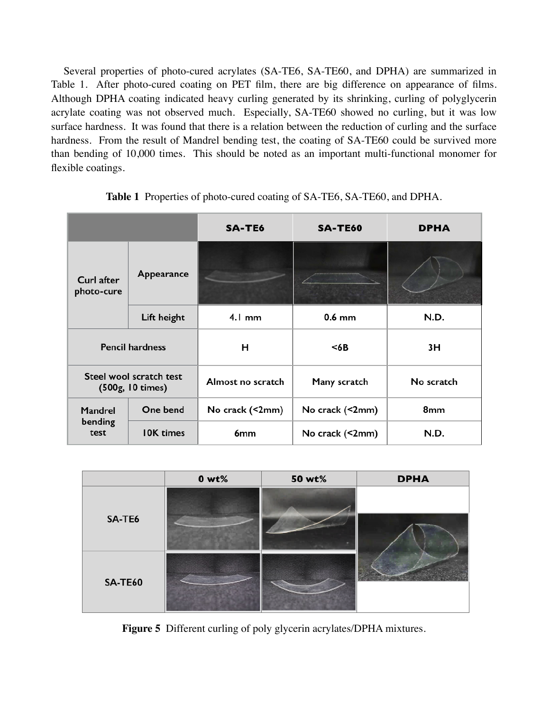Several properties of photo-cured acrylates (SA-TE6, SA-TE60, and DPHA) are summarized in Table 1. After photo-cured coating on PET film, there are big difference on appearance of films. Although DPHA coating indicated heavy curling generated by its shrinking, curling of polyglycerin acrylate coating was not observed much. Especially, SA-TE60 showed no curling, but it was low surface hardness. It was found that there is a relation between the reduction of curling and the surface hardness. From the result of Mandrel bending test, the coating of SA-TE60 could be survived more than bending of 10,000 times. This should be noted as an important multi-functional monomer for flexible coatings.

|                                             |                  | <b>SA-TE6</b>     | <b>SA-TE60</b>  | <b>DPHA</b> |
|---------------------------------------------|------------------|-------------------|-----------------|-------------|
| Curl after<br>photo-cure                    | Appearance       |                   |                 |             |
|                                             | Lift height      | $4.1 \text{ mm}$  | $0.6$ mm        | N.D.        |
| <b>Pencil hardness</b>                      |                  | н                 | <6B             | 3H          |
| Steel wool scratch test<br>(500g, 10 times) |                  | Almost no scratch | Many scratch    | No scratch  |
| Mandrel<br>bending<br>test                  | One bend         | No crack (<2mm)   | No crack (<2mm) | 8mm         |
|                                             | <b>IOK</b> times | 6mm               | No crack (<2mm) | N.D.        |

**Table 1** Properties of photo-cured coating of SA-TE6, SA-TE60, and DPHA.

|                | $0 wt\%$ | 50 wt% | <b>DPHA</b> |
|----------------|----------|--------|-------------|
| SA-TE6         |          |        |             |
| <b>SA-TE60</b> |          |        |             |

**Figure 5** Different curling of poly glycerin acrylates/DPHA mixtures.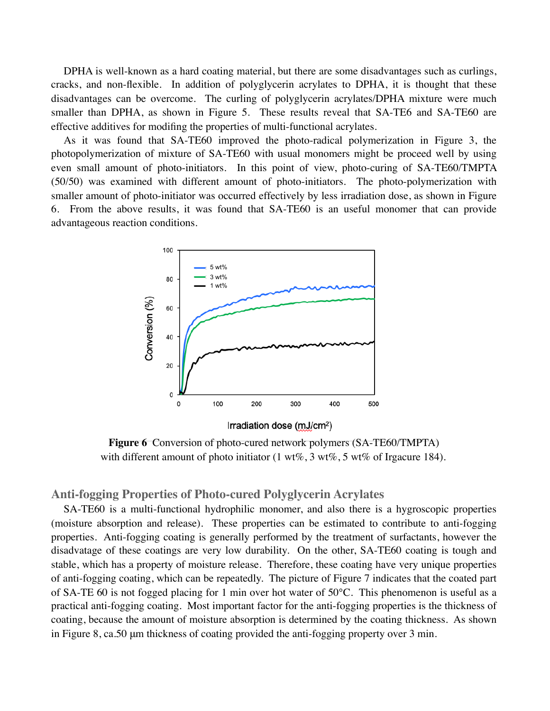DPHA is well-known as a hard coating material, but there are some disadvantages such as curlings, cracks, and non-flexible. In addition of polyglycerin acrylates to DPHA, it is thought that these disadvantages can be overcome. The curling of polyglycerin acrylates/DPHA mixture were much smaller than DPHA, as shown in Figure 5. These results reveal that SA-TE6 and SA-TE60 are effective additives for modifing the properties of multi-functional acrylates.

As it was found that SA-TE60 improved the photo-radical polymerization in Figure 3, the photopolymerization of mixture of SA-TE60 with usual monomers might be proceed well by using even small amount of photo-initiators. In this point of view, photo-curing of SA-TE60/TMPTA (50/50) was examined with different amount of photo-initiators. The photo-polymerization with smaller amount of photo-initiator was occurred effectively by less irradiation dose, as shown in Figure 6. From the above results, it was found that SA-TE60 is an useful monomer that can provide advantageous reaction conditions.



**Figure 6** Conversion of photo-cured network polymers (SA-TE60/TMPTA) with different amount of photo initiator  $(1 \text{ wt\%}, 3 \text{ wt\%}, 5 \text{ wt\%})$  of Irgacure 184).

# **Anti-fogging Properties of Photo-cured Polyglycerin Acrylates**

SA-TE60 is a multi-functional hydrophilic monomer, and also there is a hygroscopic properties (moisture absorption and release). These properties can be estimated to contribute to anti-fogging properties. Anti-fogging coating is generally performed by the treatment of surfactants, however the disadvatage of these coatings are very low durability. On the other, SA-TE60 coating is tough and stable, which has a property of moisture release. Therefore, these coating have very unique properties of anti-fogging coating, which can be repeatedly. The picture of Figure 7 indicates that the coated part of SA-TE 60 is not fogged placing for 1 min over hot water of 50°C. This phenomenon is useful as a practical anti-fogging coating. Most important factor for the anti-fogging properties is the thickness of coating, because the amount of moisture absorption is determined by the coating thickness. As shown in Figure 8, ca.50 μm thickness of coating provided the anti-fogging property over 3 min.